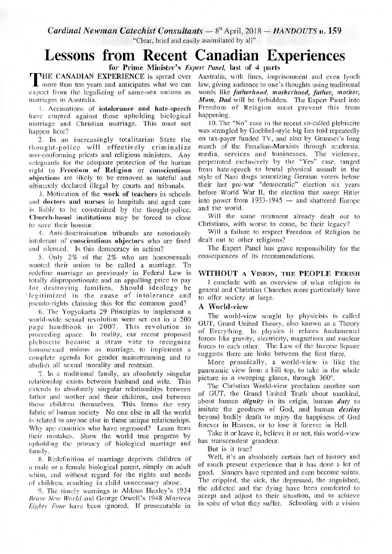**Cardinal Newman Catechist Consultants — 8<sup>th</sup> April, 2018 —** *HANDOUTS* **n. 159** 

"Clear, brief and easily assimilated by all"

# **Lessons from Recent Canadian Experiences**

for Prime Minister's *Expert Panel,* last of 4 parts

THE CANADIAN EXPENIENCE is spread over Australia, with these imprisonment and even fynch more than ten years and anticipates what we can law, giving audience to one's thoughts using traditional expect from the legalizing of same-sex unions as words like *fatherhood, motherhood, father, mother,*  marriages in Australia. *Mum, Dad* will be forbidden. The Expert Panel into

have erupted against those upholding biological marriage and Christian marriage. This must not 10. The "No" case in the recent so-called plebiscite happen here? was strangled by Goebbel-style big lies told repeatedly

thought-police will effectively criminalize march of the Freudian-Marxists through academia, non-conforming priests and religious ministers. Any safeguards for the adequate protection of the human perpetrated exclusively by the "Yes" case, ranged right to Freedom of Religion or conscientious from hate-speech to brutal physical assault in the right to Freedom of Religion or conscientious from hate-speech to brutal physical assault in the objections are likely to be removed as hateful and style of Nazi thugs terrorizing German voters before objections are likely to be removed as hateful and ultimately declared illegal by courts and tribunals. their last pre-war "democratic" election six years

and **doctors and nurses** in hospitals and aged care into power from is liable to be constrained by the thought-police and the world. is liable to be constrained by the thought-police. and the world.<br>Church-based institutions may be forced to close. Will the same treatment already dealt out to Church-based institutions may be forced to close to save their honour. Christians, with worse to come, be their legacy?

intolerant of conscientious objectors who are fined

5. Only  $2\%$  of the  $2\%$  who are homosexuals wanted their union to be called a marriage. To redefine marriage as previously in Federal Law is totally disproportionate and an appalling price to pay for destroying families. Should ideology be legitimized in the cause of intolerance and pseudo-rights claiming this for the common good?

6. The Yogyaknrta 29 Principles to implement a world-wide sexual revolution were set out in a 200 page handbook in 2007. This revolution is proceeding apace. In reality, our recent proposed plebiscite became a straw vote to recognize homosexual unions as marriage, to implement a complete agenda for gender mainstreaming and to abolish all sexual morality and restraint.

7. In a traditional family, an absolutely singular relationship exists between husband and wife. This extends to absolutely singular relationships between father and mother and their children, and between those children themselves. This forms the very fabric of human society No one else in all the world is related to anyone else in these unique relationships. Why ape countries who have regressed? Learn from their mistakes. Show the world true progress by upholding the primacy of biological marriage and family.

8. Redefinition of marriage deprives children of a mule or a female biological parent, simply on adult whim, and without regard for the rights and needs of children, resulting in child unnecessary abuse.

9. The timely warnings in Aldous Huxley's 1934 *Brave New World* and George Orwell's 1948 Nineteen *Eightv Four* have been ignored. If prosecutable in

**HE CANADIAN EXPERIENCE** is spread over Australia, with fines, imprisonment and even lynch I. Accusations of **intolerance and hate-speech** Freedom of Religion must prevent this from re erupted against those upholding biological happening.

2. In an increasingly totalitarian State the on tax-payer funded TV, and also by Gramsci's long<br>
bught-police will effectively criminalize march of the Freudian-Marxists through academia, 3. Motivation of the work of teachers in schools before World War II, the election that swept Hitler<br>doctors and nurses in hospitals and aged care into power from 1933-1945 — and shattered Europe

4. Anti-discrimination tribunals are notoriously<br>plerant of conscientious objectors who are fined dealt out to other religions?

and silenced. Is this democracy in action? The Expert Panel has grave responsibility for the <br>5. Only 2% of the 2% who are homosexuals consequences of its recommendations.

# WITHOUT A VISION, THE PEOPLE PERISH

I conclude with an overview of what religion in general and Christian Churches more particularly have to offer society at large.

## A World-view

The world-view sought by physicists is called GUT, Grand United Theory, also known as a Theory of Everything. In physics it relates fundamental forces like gravity, electricity, magnetism and nuclear forces to each other. The Law of the Inverse Square suggests there are links between the first three.

More prosaically, a world-view is like the panoramic view from a hill top, to take in the whole picture in a sweeping glance, through 360°.

The Christian World-view proclaims another sort of GUT, the Grand United Truth about mankind, about human *dignity* in its origin, human *duty* to imitate the goodness of God, and human *destiny* beyond bodily death to enjoy the happiness of God forever in Heaven, or to lose it forever in Hell.

Take it or leave it, believe it or not, this world-view has transcendent grandeur.

But is it true?

Well, it's an absolutely certain fact of history and of much present experience that it has done a lot of good. Sinners have repented and even become saints. The crippled, the sick, the depressed, the anguished, the addicted and the dying have been comforted to accept and adjust to their situation, and to achieve in spite of what they suffer. Schooling with a vision